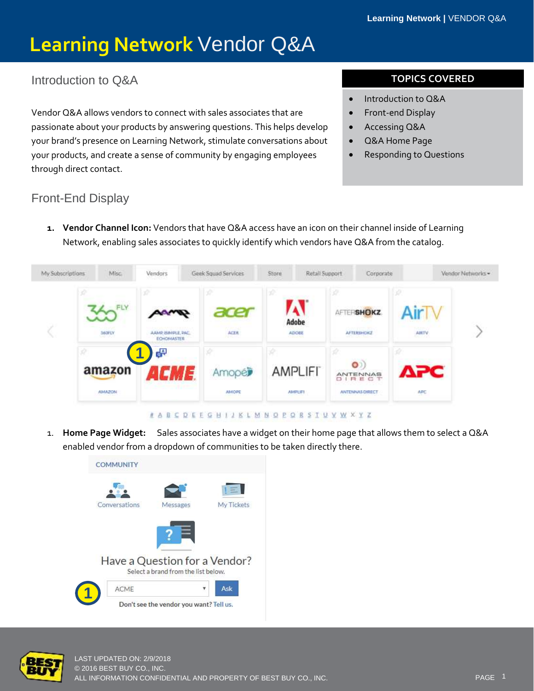#### ` Introduction to Q&A

Vendor Q&A allows vendors to connect with sales associates that are passionate about your products by answering questions. This helps develop your brand's presence on Learning Network, stimulate conversations about your products, and create a sense of community by engaging employees through direct contact.

#### **TOPICS COVERED**

- Introduction to Q&A
- Front-end Display
- Accessing Q&A
- Q&A Home Page
- Responding to Questions

#### Front-End Display

**1. Vendor Channel Icon:** Vendors that have Q&A access have an icon on their channel inside of Learning Network, enabling sales associates to quickly identify which vendors have Q&A from the catalog.



- N A B C D E E G H I J K L M N O P O R S T U V W X Y Z
- 1. **Home Page Widget:** Sales associates have a widget on their home page that allows them to select a Q&A enabled vendor from a dropdown of communities to be taken directly there.



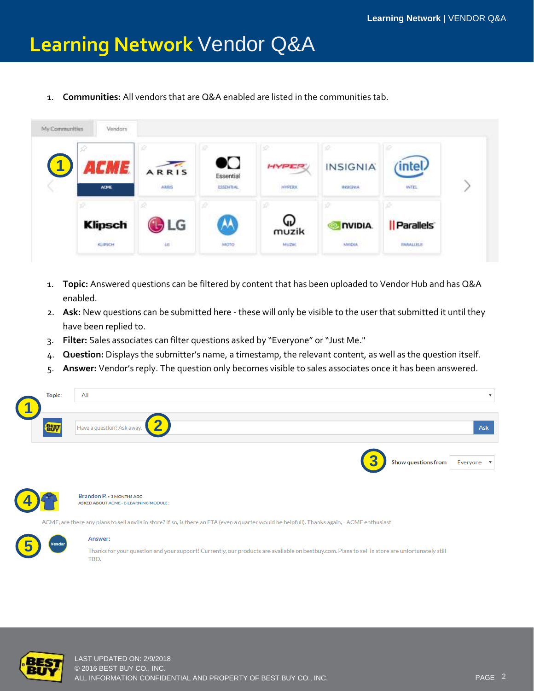1. **Communities:** All vendors that are Q&A enabled are listed in the communities tab.



- 1. **Topic:** Answered questions can be filtered by content that has been uploaded to Vendor Hub and has Q&A enabled.
- 2. **Ask:** New questions can be submitted here these will only be visible to the user that submitted it until they have been replied to.
- 3. **Filter:** Sales associates can filter questions asked by "Everyone" or "Just Me."
- 4. **Question:** Displays the submitter's name, a timestamp, the relevant content, as well as the question itself.
- 5. **Answer:** Vendor's reply. The question only becomes visible to sales associates once it has been answered.





Brandon P. > 3 MONTHS AGO ASKED ABOUT ACME - E-LEARNING MODULE:

ACME, are there any plans to sell anvils in store? If so, is there an ETA (even a quarter would be helpfull). Thanks again, - ACME enthusiast

#### **5**

#### Answer:

Thanks for your question and your support! Currently, our products are available on bestbuy.com. Plans to sell in store are unfortunately still TBD.



LAST UPDATED ON: 2/9/2018 © 2016 BEST BUY CO., INC. ALL INFORMATION CONFIDENTIAL AND PROPERTY OF BEST BUY CO., INC.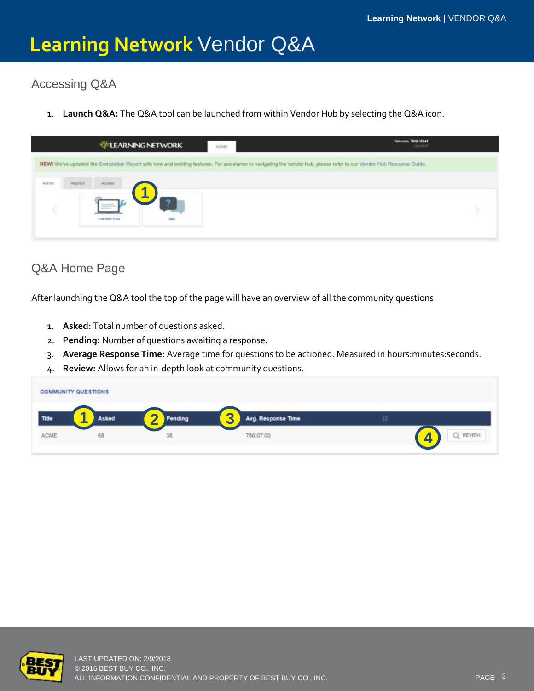# Accessing Q&A

1. **Launch Q&A:** The Q&A tool can be launched from within Vendor Hub by selecting the Q&A icon.



#### Q&A Home Page

After launching the Q&A tool the top of the page will have an overview of all the community questions.

- 1. **Asked:** Total number of questions asked.
- 2. **Pending:** Number of questions awaiting a response.
- 3. **Average Response Time:** Average time for questions to be actioned. Measured in hours:minutes:seconds.
- 4. **Review:** Allows for an in-depth look at community questions.

| <b>STATE AND RESIDENCE AND RESIDENCE AND A REPORT OF A STATE OF A REPORT OF A STATE OF A REPORT OF A STATE OF A R</b><br><b>COMMUNITY QUESTIONS</b><br>TARAH MASA MASA DI LA GA ZULIA WASAN |              |           |                                                             |               |
|---------------------------------------------------------------------------------------------------------------------------------------------------------------------------------------------|--------------|-----------|-------------------------------------------------------------|---------------|
| Title                                                                                                                                                                                       | . .<br>Asked | <b>Lr</b> | -<br>$\sqrt{2}$<br>Avg. Response Time<br>$\mathbf{\bullet}$ |               |
| ACME                                                                                                                                                                                        | 68           | 38        | 786:07:00<br>a management of the control of                 | <b>NEVIEW</b> |

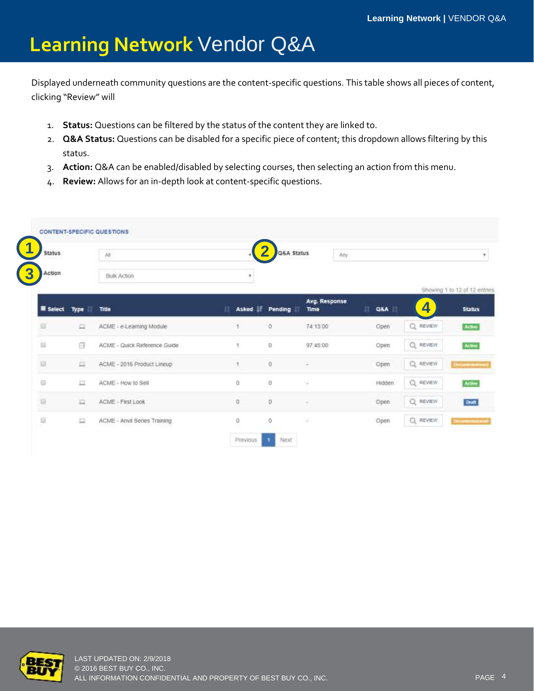` Displayed underneath community questions are the content-specific questions. This table shows all pieces of content, clicking "Review" will

- 1. **Status:** Questions can be filtered by the status of the content they are linked to.
- 2. **Q&A Status:** Questions can be disabled for a specific piece of content; this dropdown allows filtering by this status.
- 3. **Action:** Q&A can be enabled/disabled by selecting courses, then selecting an action from this menu.
- 4. **Review:** Allows for an in-depth look at content-specific questions.

| <b>Status</b>       |           | 薄                            |                      | Q&A Status | Any.                  |          |                                    |               |
|---------------------|-----------|------------------------------|----------------------|------------|-----------------------|----------|------------------------------------|---------------|
| Action              |           | <b>Bulk Action</b>           | ٠                    |            |                       |          |                                    |               |
| <b>R</b> Select     | п<br>Type | Title                        | Asked <b>Fending</b> |            | Avg. Response<br>Time | n<br>Q&A | Showing 1 to 12 of 12 entries<br>4 | <b>Status</b> |
| 皿                   | 皿         | ACME - e-Learning Module     |                      | o          | 74:13:00              | Open     | Q<br>REVIEW                        | Active        |
| 巨                   | 6         | ACME - Quick Reference Guide | 1.                   | ø          | 97:45:00              | Open:    | Q REVIEW                           | Active        |
| 庭                   | 旦         | ACME - 2016 Product Lineup   |                      | 0          | $\sim$                | Open     | Q REVIEW                           | Decommensured |
| $\overline{u}$      | 血         | ACME - How to Sell           | Œ                    | $\Omega$   | õ.                    | Hidden   | Q REVIEW                           | Active        |
| $\overline{\omega}$ | 旦         | ACME - First Look            | $\overline{G}$       | o          | $\sim$                | Open     | $Q$ REVIEW                         | Draft         |
| 日                   | 益         | ACME - Anvil Series Training | $\bar{0}$            | $\hat{0}$  | 度                     | Open     | Q REVIEW                           | Decommentance |

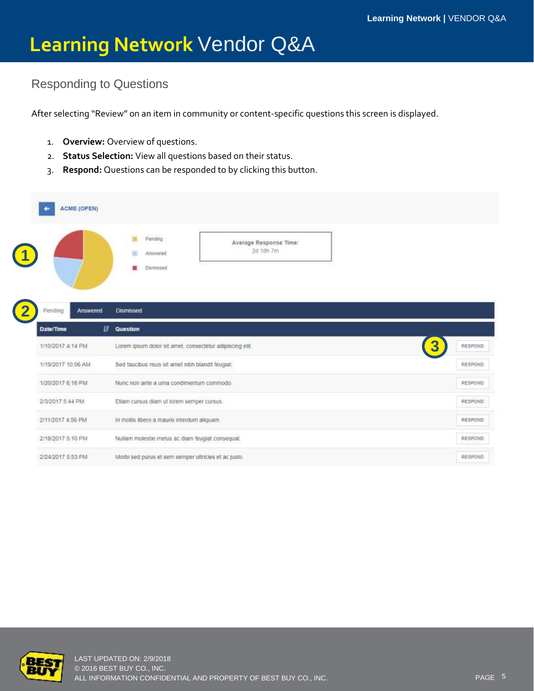# ` Responding to Questions

After selecting "Review" on an item in community or content-specific questions this screen is displayed.

- 1. **Overview:** Overview of questions.
- 2. **Status Selection:** View all questions based on their status.
- 3. **Respond:** Questions can be responded to by clicking this button.

| <b>ACME (OPEN)</b>  |                                                                          |                |
|---------------------|--------------------------------------------------------------------------|----------------|
|                     | Periding<br>Average Response Time:<br>2d 18h 7m<br>Antwered<br>Dismissed |                |
| Pending<br>Answered | <b>Dismissed</b>                                                         |                |
| Date/Time           | π<br>Question                                                            |                |
| 1/10/2017 4:14 PM   | Lorem ipsum dolor sit amet, consectetur adipiscing elit.                 | RESPOND        |
| 1/19/2017 10:06 AM  | Sed faucibus risus sit amet nibh blandit feugiat.                        | RESPOND        |
| 1/20/2017 6:16 PM   | Nunc non ante a urna condimentum commodo.                                | RESPOND        |
| 2/3/2017 5:44 PM    | Etiam cursus diam ut lorem semper cursus.                                | <b>RESPOND</b> |
| 2/11/2017 4:56 PM   | In mollis libero a mauris interdum aliquam.                              | <b>RESPOND</b> |
| 2/18/2017 5:10 PM   | Nullam molestie metus ac diam feugiat consequat.                         | RESPOND        |
| 2/24/2017 在53 户M    | Morbi sed purus et sem semper ultricies et ac justo.                     | RESPOND        |